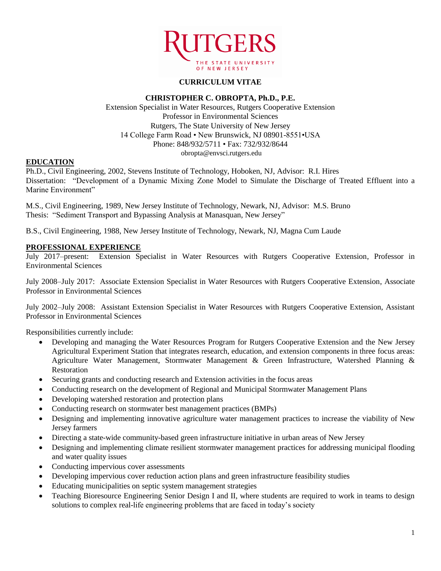

# **CURRICULUM VITAE**

#### **CHRISTOPHER C. OBROPTA, Ph.D., P.E.**

Extension Specialist in Water Resources, Rutgers Cooperative Extension Professor in Environmental Sciences Rutgers, The State University of New Jersey 14 College Farm Road • New Brunswick, NJ 08901-8551•USA Phone: 848/932/5711 • Fax: 732/932/8644 obropta@envsci.rutgers.edu

## **EDUCATION**

Ph.D., Civil Engineering, 2002, Stevens Institute of Technology, Hoboken, NJ, Advisor: R.I. Hires Dissertation: "Development of a Dynamic Mixing Zone Model to Simulate the Discharge of Treated Effluent into a Marine Environment"

M.S., Civil Engineering, 1989, New Jersey Institute of Technology, Newark, NJ, Advisor: M.S. Bruno Thesis: "Sediment Transport and Bypassing Analysis at Manasquan, New Jersey"

B.S., Civil Engineering, 1988, New Jersey Institute of Technology, Newark, NJ, Magna Cum Laude

### **PROFESSIONAL EXPERIENCE**

July 2017–present: Extension Specialist in Water Resources with Rutgers Cooperative Extension, Professor in Environmental Sciences

July 2008–July 2017: Associate Extension Specialist in Water Resources with Rutgers Cooperative Extension, Associate Professor in Environmental Sciences

July 2002–July 2008: Assistant Extension Specialist in Water Resources with Rutgers Cooperative Extension, Assistant Professor in Environmental Sciences

Responsibilities currently include:

- Developing and managing the Water Resources Program for Rutgers Cooperative Extension and the New Jersey Agricultural Experiment Station that integrates research, education, and extension components in three focus areas: Agriculture Water Management, Stormwater Management & Green Infrastructure, Watershed Planning & Restoration
- Securing grants and conducting research and Extension activities in the focus areas
- Conducting research on the development of Regional and Municipal Stormwater Management Plans
- Developing watershed restoration and protection plans
- Conducting research on stormwater best management practices (BMPs)
- Designing and implementing innovative agriculture water management practices to increase the viability of New Jersey farmers
- Directing a state-wide community-based green infrastructure initiative in urban areas of New Jersey
- Designing and implementing climate resilient stormwater management practices for addressing municipal flooding and water quality issues
- Conducting impervious cover assessments
- Developing impervious cover reduction action plans and green infrastructure feasibility studies
- Educating municipalities on septic system management strategies
- Teaching Bioresource Engineering Senior Design I and II, where students are required to work in teams to design solutions to complex real-life engineering problems that are faced in today's society